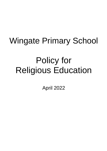## Wingate Primary School

# Policy for Religious Education

April 2022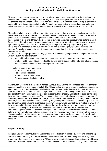### **Wingate Primary School Policy and Guidelines for Religious Education**

This policy is written with consideration to our school commitment to the Rights of the Child and out achievement of becoming a Rights Respecting School and it complies with Article 28 of the UNCRC 'Every child has the right to an education' as well as Article 29 'Education must develop every child's personality, talents and abilities to the full.' Although reference to this is not continuously make the policy has been written with full awareness of our responsibility and commitment to children's Rights.

The rights and dignity of our children are at the heart of everything we do, every decision we and they make and every driver for making progress and helping our children to develop as responsible, valued global citizens who want to make a positive contribution to their and our world.

In our school it is our intent that we help children to develop resilience, perseverance, autonomy and focus. Our children learn that they are valued and valuable, they are independent people in their own right and they have the power to do wonderful, amazing things at every stage of every day.

Every one of our children is a unique individual with their own strengths, aptitudes, interests and dreams. As a school community we will endeavour to support each child to make the most of every opportunity we offer.

We provide enriching experiences to engage learners and in designing and developing our curriculum we have taken into consideration

- how children learn and remember; progress means knowing more and remembering more
- what our children need to succeed in life; cultural capital they need to make aspirational choices and succeed beyond their time at Wingate Primary School.

The key drivers for our curriculum Ambition and aspiration Resilience and courage Autonomy and independence

Perseverance and solution finding

RE is taught according to the Durham Agreed Syllabus 2020 and the four concepts of belief, authority, expressions of belief and impact of belief. The RE curriculum intends to provoke challenging questions about meaning and purpose in life, beliefs about God, ultimate reality, issues of right and wrong and what it means to be human. Its intent is to promote children's understanding of and respect for belief and beliefs through encouraging them to ask questions, think critically and reflect on their learning and their own experiences and attitudes. This is implemented through introducing and studying a range of world religions across Early Years, Key Stage 1 and 2 where children are not only taught about specific features, beliefs and practices of these, but they are given opportunities to ask questions, give opinions and compare across religions, to reflect on their own beliefs, values and feelings in relation to what they have learnt and to develop their understanding of the role the values play in our community and the wider world. The impact of this will be that children will have a more detailed knowledge and understanding of concepts across several religious and nonreligious worldviews and how these connect to form a framework for understanding religious and non-religious worldviews. Children will be able to show appreciation of different perspectives, recognising the reasons given to support these viewpoints and will be able to raise controversial questions, express their opinions and use sound reasons to back these up.

#### **Purpose of Study**

Religious Education contributes dynamically to pupils' education in schools by provoking challenging questions about meaning and purpose in life, beliefs about God, ultimate reality, issues of right and wrong and what it means to be human. In RE pupils learn about religious and non-religious worldviews in order to discover, explore and consider different answers to these questions. They learn to interpret,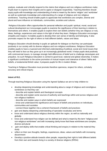analyse, evaluate and critically respond to the claims that religious and non-religious worldviews make. Pupils learn to express their insights and to agree or disagree respectfully. Teaching therefore should equip pupils with knowledge and understanding of what is meant by the terms 'religion' and 'worldview' as well as systematic knowledge and understanding of a range of religious and non-religious worldviews. Teaching should enable pupils to appreciate that worldviews are complex, diverse and plural and have influence on individuals, communities, societies and cultures.

Religious Education offers opportunities for personal reflection and pupils' spiritual, moral, social and cultural development as it encourages pupils to examine the significance of their learning in relation to themselves and others. It enables pupils to explore their own beliefs (whether they are religious or not), ideas, feelings, experiences and values in the light of what they learn. Religious Education encourages empathy and respect. It enables pupils to develop their own sense of identity and belonging. It also promotes respect for the right of others to hold different beliefs, values and ideas.

Religious Education should develop in pupils an aptitude for dialogue so that they can participate positively in our society with its diverse religious and non-religious worldviews. Religious Education enables pupils to have a nuanced and informed understanding of political, social and moral issues that they will need to face as they grow up in an increasingly globalised world. It helps pupils deal positively with controversial issues, to manage strongly held differences of belief and to challenge stereotypes and prejudice. As such Religious Education is central to good local, national and global citizenship. It makes a significant contribution to the active promotion of mutual respect and tolerance of others' faiths and beliefs, a fundamental British value. It prepares pupils for life in modern Britain.

Teaching in Religious Education must promote therefore openness, respect for others, scholarly accuracy and critical enquiry.

#### **Intent of R.E.**

Through teaching Religious Education using the Agreed Syllabus we aim to help children to:

- develop deepening knowledge and understanding about a range of religious and nonreligious worldviews so that they can:
	- describe and explain beliefs and theological concepts
	- describe and explain some sources of authority and teachings within and across religious and non-religious traditions
	- describe and explain ways in which beliefs are expressed
	- know and understand the significance and impact of beliefs and practices on individuals, communities and societies
	- connect these together into a coherent framework of beliefs and practices
- gain and deploy deepening understanding of specialist vocabulary and terms
- know and understand about religious diversity within the region, as well as nationally and globally
- know and understand how religion can be defined and what is meant by the term "religious and non-religious worldviews" and with increasing clarity know that these worldviews are complex, diverse and plural
- gain and deploy skills that enable critical thinking and enquiry in relation to the material they study
- reflect on their own thoughts, feelings, experiences, ideas, values and beliefs with increasing discernment
- Develop a positive attitude towards other people, respecting their right to hold different beliefs from their own and towards living in a society of diverse religions (RRSA)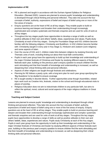#### **Implementation of RE**

- RE is planned and taught in accordance with the Durham Agreed Syllabus for Religious Education. (Revised 2020). Lessons are planned to ensure pupils' knowledge and understanding is developed through critical thinking and personal reflection. They take into account the four concepts of belief, authority, expressions of belief and impact of belief using one or more of the five areas of enquiry.
- Enquiry questions are at the heart of RE at all key stages. They enable pupils to build on previous learning and deepen and broaden their understanding through increasingly sophisticated and complex systematic and thematic enquiries and are used for units of work at all key stages.
- Throughout the key stages pupils have opportunities to develop a range of skills as well as positive attitudes to their own and others' beliefs, ideas, experiences and values. Pupils study Christianity at each of the Key stages.During the Foundation Stage and KS1 children become familiar with the following religions: Christianity and Buddhism. In KS2 children become familiar with: Christianity (taught in every year in Key Stage 2), Hinduism and Judaism (core religions) and some aspects of Islam.
- Over the course of KS1 and 2, children make links between religions by studying Diversity and Thematic units of work, including finding out about their local faith communities.
- Pupils in each year group have the opportunity to build up their knowledge and understanding of the major Christian festivals of Christmas and Easter by studying different aspects of these festivals each year, building on the previous year's enquiry question to ensure children find the work stimulating and that their breadth of knowledge and understanding is increased, as well as deepening their critical thinking skills and personal reflection.
- Aspects of other religions are taught through festivals and celebrations.
- Planning for RE follows a yearly cycle, with a long term plan for each year group specifying the 'Big Questions' to be studied to ensure coverage
- RE is taught weekly in discrete blocks. Further opportunities arise though Assemblies, related topic work such as Creative Arts, festivals, visitors to the school and through educational visits to places of worship.
- Religious Education does not aim to indoctrinate children to any particular faith, but aims to reflect the spiritual, moral, cultural and social aspects of the major religious traditions in Great Britain.

#### **Teaching and Subject Content**

Lessons are planned to ensure pupils' knowledge and understanding is developed through critical thinking and personal reflection. They take into account the four concepts of belief, authority, expressions of belief and impact of belief using one or more of the five areas of enquiry. Enquiry questions are at the heart of RE at all key stages. They enable pupils to build on previous learning and deepen and broaden their understanding through increasingly sophisticated and complex systematic and thematic enquiries and are used for units of work at all key stages. Throughout the key stages pupils have opportunities to develop a range of skills as well as positive attitudes to their own and others' beliefs, ideas, experiences and values. Pupils study Christianity at each of the Key stages. Pupils in each year group have the opportunity to build up their knowledge and understanding of the major Christian festivals of Christmas and Easter by studying different aspects of these festivals each year, building on the previous year's enquiry question to ensure children find the work stimulating and that their breadth of knowledge and understanding is increased, as well as deepening their critical thinking skills and personal reflection.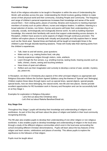#### **Foundation Stage**

Much of the religious education to be taught in Reception is within the area of Understanding the World, with activities across the year. Understanding the World involves guiding children to make sense of their physical world and their community, including People and Community. The frequency and range of children's personal experiences increases their knowledge and sense of the world around them – from visiting parks, places of worship, libraries and museums to meeting important members of society such as police officers, nurses and religious leaders. In addition, listening to a broad selection of stories, non-fiction, rhymes and poems will foster their understanding of our culturally, socially, technologically and ecologically diverse world. As well as building important knowledge, this extends their familiarity with words that support understanding across domains. In Reception, children have access to some aspects of religion through continuous provision. The children will explore places of worship both virtually and physically and fully explore them in 'areas' such as the 'block area'. Special times and festivals will be taught at meaningful times in the children's year through discrete teaching sessions. These will mostly take their starting points from the children's experiences.

- Talk, listen to and tell stories, pose questions
- Make and do, e.g. making festive food, role play
- Directly experience religion through visitors, visits, artefacts
- Learn through the five senses, e.g. smelling incense, tasting foods, hearing sounds such as bells, chimes, chants, seeing and touching artefacts
- Have times of quiet and stillness
- Reflect and use their imagination and curiosity to develop a sense of awe, wonder, mystery, joy, peace etc.

In Reception, we draw on Christianity plus aspects of the other principal religions as appropriate and Religious Education follows the Durham Agreed Syllabus using the themes of 'Special' and 'Belonging'. Children explore these ideas through topics such as special times, special objects, special people, special books, how we show belonging, the natural world, new life and new places. Stories provide excellent opportunities for RE foundation work in Nursery and Reception and can be successfully built on at Key Stage 1.

Examples for exploration in Religious Education:

- Let's find out about the Christmas story
- Let's find out about Raksha Bandhan/Diwali etc.

#### **Key Stage One**

Throughout Key Stage 1 pupils will develop their knowledge and understanding of religions and worldviews. As part of this they will learn about the place of religion and beliefs in their local community recognising diversity.

The RE plan also enables pupils to develop their understanding of one other religion or non-religious worldview. It also enables pupils to develop knowledge and understanding of religion in the local area through a study of the different religious communities which exist in the local area surrounding the school (including different Christian denominations). Pupils will learn about the key features of this religion and learn stories, celebrations and places of worship. This allows pupils to explore the significance to the followers of that religion.

Pupils must be taught about: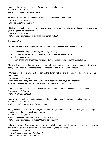• Christianity - introduction to beliefs and practices and their impact.

*Example of Unit Question* 

*- How do Christians celebrate Easter?* 

- Buddhism introduction to some beliefs and practices and their impact. *Example of Unit Question*
- *- How do Buddhists worship?*

• Religious diversity - introduction to the diverse religious and non-religious landscape in the local area (including differing denominations).

*Example of Unit Question* 

*- What can we find out about our local faith communities?*

#### **Key Stage Two**

Throughout Key Stage 2 pupils will build up an increasingly clear and detailed picture of:

- Christianity (taught in every year in Key Stage 2)
- Hinduism and Judaism (core religions) and some aspects of Islam.
- Religious diversity
- Similarities and differences within and between religions through thematic studies

These religions are mainly taught in separate units so that pupils do not become confused. Pupils do study some units which help them look at a theme across more than one religion:

• Christianity – beliefs and practices across the denominations and the impact of these for individuals and communities.

*Examples of Unit Question* 

*- Why are Good Friday and Easter Sunday the most important days for Christians?* 

*- So, what do we now know about Christianity? (Statutory Bridging Unit)*

• Hinduism – some beliefs and practices and the impact of these for individuals and communities *Example of Unit Question* 

*- What do Hindus believe?* 

• Judaism – some beliefs and practices and the impact of these for individuals and communities *Example of Unit Question* 

*- Why do Jewish people go to the synagogue?*

• religious diversity - the diverse religious and non-religious landscape across the region, including a special study of a local Muslim community

*Examples of Unit Questions* 

*- What can we find out about diversity in our region?* 

*- What can we find out about a local Muslim community?* 

• similarities and differences within and between religious and non-religious worldviews through at least one thematic study e.g. about ritual, the environment, care for others *Examples of Unit Questions*

*- How do people show care for others?* 

*- Why do people use ritual in their lives?*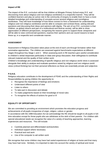#### **Impact of RE**

The impact of the R.E. curriculum will be that children at Wingate Primary School enjoy R.E. and discovering more about religious and non-religious worldviews in a respectful manner. They will be confident learners and play an active role in the community of enquiry to enable them to have a more detailed knowledge and understanding of concepts across several religious and nonreligious worldviews. They will have knowledge of how these connect to form a framework for understanding religious and non-religious worldviews and be able to compare and contrast these, asking relevant questions and discussing their ideas and opinions with dignity. The aim of our R.E. curriculum is that children, as global citizens and part of a multicultural and diverse society, will be able to show appreciation of different perspectives, recognising the reasons given to support these viewpoints and will be able to raise controversial questions, express their opinions and use sound reasons to back these up, in a respectful and considerate manner.

#### **ASSESSMENT**

Assessment in Religious Education takes place at the end of each unit through formative rather than summative approaches. The children are assessed against benchmarks expectations at different stages throughout Key Stage 1 and 2. When assessing work in RE teachers give careful consideration to children's verbal responses particularly in class and group discussion, their willingness to contribute relevant material and the quality of their written work.

Children's knowledge and understanding of specific religious and non-religious world views is assessed alongside their ability to analyse and evaluate questions raised by religious and non-religious world views (critical thinking) but not their personal reflections as these are essentially private and subjective.

#### **P.S.H.E.**

Religious education contributes to the development of PSHE and the understanding of their Rights and Responsibilities by giving children the opportunity to:

- Recognise the importance of feelings and emotions
- Understand different points of view
- **Listen to others**
- To take part in discussion and debate
- To make judgements based on their knowledge of moral rules
- To recognise the effects of actions for good or ill

#### **EQUALITY OF OPPORTUNITY**

We are committed to providing an environment which promotes the education progress and achievements of all pupils irrespective of origin, religion, culture or gender.

In accordance with the 1988 Education Act we acknowledge the RE should be taught to all pupils in fulltime education except for those pupils who are withdrawn at the wish of their parents. For children with special educational needs we recognise the value of a variety of teaching approaches, learning experiences and resources. This will include:

- Carefully planned and differentiated work/activities
- Individual support where necessary
- Practical and oral work
- Use of the computer to aid written work

We recognise that some children may have had varied experiences of religion at home and that many may have had none. Similarly, it is important to take into account the variety of spiritual and moral